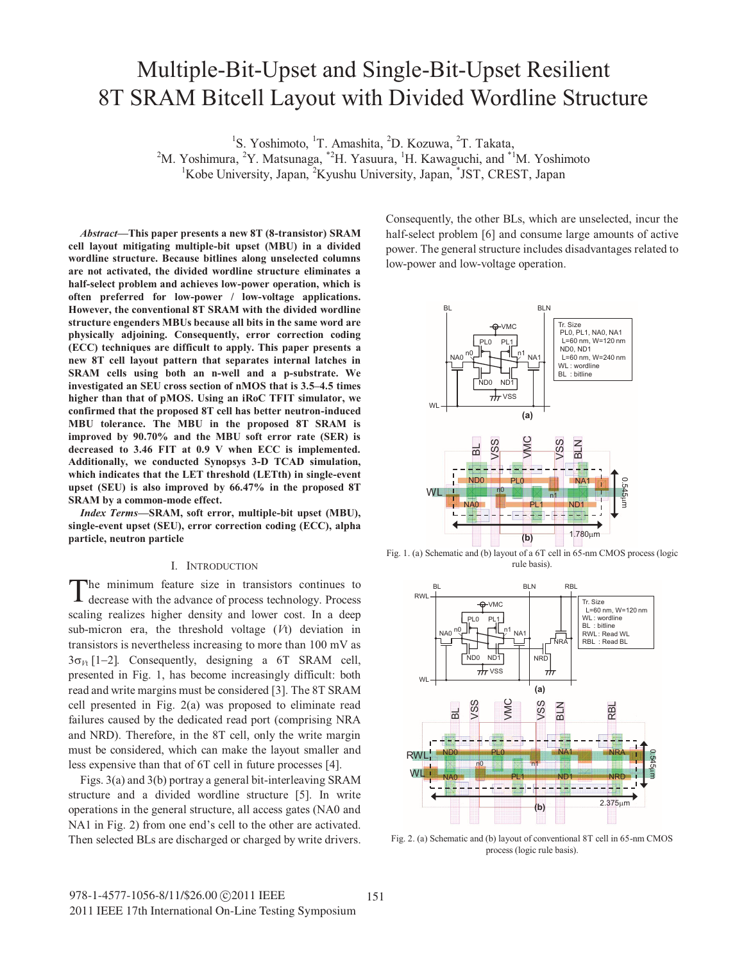# Multiple-Bit-Upset and Single-Bit-Upset Resilient 8T SRAM Bitcell Layout with Divided Wordline Structure

<sup>1</sup>S. Yoshimoto, <sup>1</sup>T. Amashita, <sup>2</sup>D. Kozuwa, <sup>2</sup>T. Takata,

<sup>2</sup>M. Yoshimura, <sup>2</sup>Y. Matsunaga,  $2H$ . Yasuura, <sup>1</sup>H. Kawaguchi, and  $2H$ <sup>1</sup>M. Yoshimoto

<sup>1</sup>Kobe University, Japan, <sup>2</sup>Kyushu University, Japan, <sup>\*</sup>JST, CREST, Japan

*Abstract***—This paper presents a new 8T (8-transistor) SRAM cell layout mitigating multiple-bit upset (MBU) in a divided wordline structure. Because bitlines along unselected columns are not activated, the divided wordline structure eliminates a half-select problem and achieves low-power operation, which is often preferred for low-power / low-voltage applications. However, the conventional 8T SRAM with the divided wordline structure engenders MBUs because all bits in the same word are physically adjoining. Consequently, error correction coding (ECC) techniques are difficult to apply. This paper presents a new 8T cell layout pattern that separates internal latches in SRAM cells using both an n-well and a p-substrate. We investigated an SEU cross section of nMOS that is 3.5–4.5 times higher than that of pMOS. Using an iRoC TFIT simulator, we confirmed that the proposed 8T cell has better neutron-induced MBU tolerance. The MBU in the proposed 8T SRAM is improved by 90.70% and the MBU soft error rate (SER) is decreased to 3.46 FIT at 0.9 V when ECC is implemented. Additionally, we conducted Synopsys 3-D TCAD simulation, which indicates that the LET threshold (LETth) in single-event upset (SEU) is also improved by 66.47% in the proposed 8T SRAM by a common-mode effect.** 

*Index Terms***—SRAM, soft error, multiple-bit upset (MBU), single-event upset (SEU), error correction coding (ECC), alpha particle, neutron particle** 

### I. INTRODUCTION

he minimum feature size in transistors continues to decrease with the advance of process technology. Process scaling realizes higher density and lower cost. In a deep sub-micron era, the threshold voltage (*V*t) deviation in transistors is nevertheless increasing to more than 100 mV as  $3\sigma_{Vt}$  [1-2]. Consequently, designing a 6T SRAM cell, presented in Fig. 1, has become increasingly difficult: both read and write margins must be considered [3]. The 8T SRAM cell presented in Fig. 2(a) was proposed to eliminate read failures caused by the dedicated read port (comprising NRA and NRD). Therefore, in the 8T cell, only the write margin must be considered, which can make the layout smaller and less expensive than that of 6T cell in future processes [4]. T

Figs. 3(a) and 3(b) portray a general bit-interleaving SRAM structure and a divided wordline structure [5]. In write operations in the general structure, all access gates (NA0 and NA1 in Fig. 2) from one end's cell to the other are activated. Then selected BLs are discharged or charged by write drivers. Consequently, the other BLs, which are unselected, incur the half-select problem [6] and consume large amounts of active power. The general structure includes disadvantages related to low-power and low-voltage operation.



Fig. 1. (a) Schematic and (b) layout of a 6T cell in 65-nm CMOS process (logic rule basis).



Fig. 2. (a) Schematic and (b) layout of conventional 8T cell in 65-nm CMOS process (logic rule basis).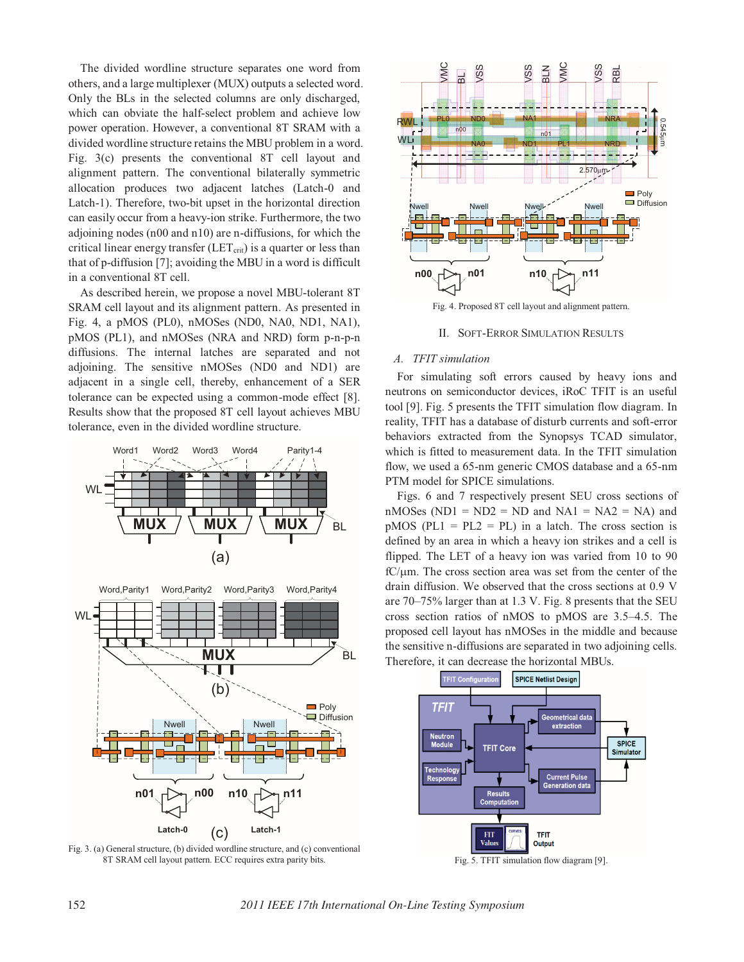The divided wordline structure separates one word from others, and a large multiplexer (MUX) outputs a selected word. Only the BLs in the selected columns are only discharged, which can obviate the half-select problem and achieve low power operation. However, a conventional 8T SRAM with a divided wordline structure retains the MBU problem in a word. Fig. 3(c) presents the conventional 8T cell layout and alignment pattern. The conventional bilaterally symmetric allocation produces two adjacent latches (Latch-0 and Latch-1). Therefore, two-bit upset in the horizontal direction can easily occur from a heavy-ion strike. Furthermore, the two adjoining nodes (n00 and n10) are n-diffusions, for which the critical linear energy transfer ( $LET_{\text{crit}}$ ) is a quarter or less than that of p-diffusion [7]; avoiding the MBU in a word is difficult in a conventional 8T cell.

As described herein, we propose a novel MBU-tolerant 8T SRAM cell layout and its alignment pattern. As presented in Fig. 4, a pMOS (PL0), nMOSes (ND0, NA0, ND1, NA1), pMOS (PL1), and nMOSes (NRA and NRD) form p-n-p-n diffusions. The internal latches are separated and not adjoining. The sensitive nMOSes (ND0 and ND1) are adjacent in a single cell, thereby, enhancement of a SER tolerance can be expected using a common-mode effect [8]. Results show that the proposed 8T cell layout achieves MBU tolerance, even in the divided wordline structure.









Fig. 4. Proposed 8T cell layout and alignment pattern.

II. SOFT-ERROR SIMULATION RESULTS

# A. TFIT simulation

*A. TFIT simulation*  For simulating soft errors caused by heavy ions and neutrons on semiconductor devices, iRoC TFIT is an useful tool [9]. Fig. 5 presents the TFIT simulation flow diagram. In reality, TFIT has a database of disturb currents and soft-error behaviors extracted from the Synopsys TCAD simulator, which is fitted to measurement data. In the TFIT simulation flow, we used a 65-nm generic CMOS database and a 65-nm PTM model for SPICE simulations.

Figs. 6 and 7 respectively present SEU cross sections of nMOSes (ND1 = ND2 = ND and NA1 = NA2 = NA) and  $pMOS$  (PL1 = PL2 = PL) in a latch. The cross section is defined by an area in which a heavy ion strikes and a cell is flipped. The LET of a heavy ion was varied from 10 to 90  $fC/\mu m$ . The cross section area was set from the center of the drain diffusion. We observed that the cross sections at 0.9 V are 70–75% larger than at 1.3 V. Fig. 8 presents that the SEU cross section ratios of nMOS to pMOS are 3.5–4.5. The proposed cell layout has nMOSes in the middle and because the sensitive n-diffusions are separated in two adjoining cells. Therefore, it can decrease the horizontal MBUs.

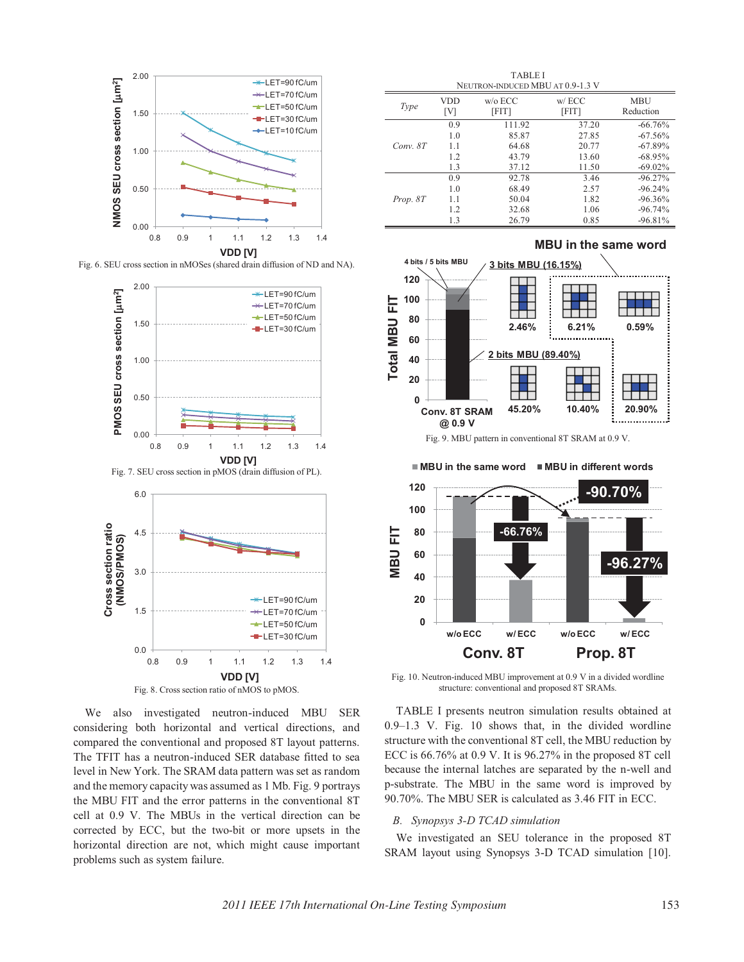

Fig. 6. SEU cross section in nMOSes (shared drain diffusion of ND and NA).



Fig. 8. Cross section ratio of nMOS to pMOS.

We also investigated neutron-induced MBU SER considering both horizontal and vertical directions, and compared the conventional and proposed 8T layout patterns. The TFIT has a neutron-induced SER database fitted to sea level in New York. The SRAM data pattern was set as random and the memory capacity was assumed as 1 Mb. Fig. 9 portrays the MBU FIT and the error patterns in the conventional 8T cell at 0.9 V. The MBUs in the vertical direction can be corrected by ECC, but the two-bit or more upsets in the horizontal direction are not, which might cause important problems such as system failure.

TABLE I NEUTRON-INDUCED MBU AT 0.9-1.3 V *Type* **VDD** [V] w/o ECC [FIT] w/ ECC [FIT] MBU Reduction *Conv. 8T*  0.9 111.92 37.20 -66.76%<br>1.0 85.87 27.85 -67.56%  $-67.56%$ 1.1 64.68 20.77 -67.89%<br>1.2 43.79 13.60 -68.95% 1.2 43.79 13.60 -68.95%<br>1.3 37.12 11.50 -69.02%  $-69.02\%$ *Prop. 8T*   $\begin{array}{cccc} 0.9 & \hspace{1.5cm} 92.78 & \hspace{1.5cm} 3.46 & \hspace{1.5cm} -96.27\% \\ 1.0 & \hspace{1.5cm} 68.49 & \hspace{1.5cm} 2.57 & \hspace{1.5cm} -96.24\% \end{array}$  $1.0$   $68.49$   $2.57$   $-96.24\%$ <br>  $1.1$   $50.04$   $1.82$   $-96.36\%$  $-96.36%$ 1.2 32.68 1.06 -96.74%<br>1.3 26.79 0.85 -96.81%  $-96.81%$ 



■ MBU in the same word ■ MBU in different words



Fig. 10. Neutron-induced MBU improvement at 0.9 V in a divided wordline structure: conventional and proposed 8T SRAMs.

TABLE I presents neutron simulation results obtained at 0.9–1.3 V. Fig. 10 shows that, in the divided wordline structure with the conventional 8T cell, the MBU reduction by ECC is 66.76% at 0.9 V. It is 96.27% in the proposed 8T cell because the internal latches are separated by the n-well and p-substrate. The MBU in the same word is improved by 90.70%. The MBU SER is calculated as 3.46 FIT in ECC.

*B. Synopsys 3-D TCAD simulation*  We investigated an SEU tolerance in the proposed 8T SRAM layout using Synopsys 3-D TCAD simulation [10].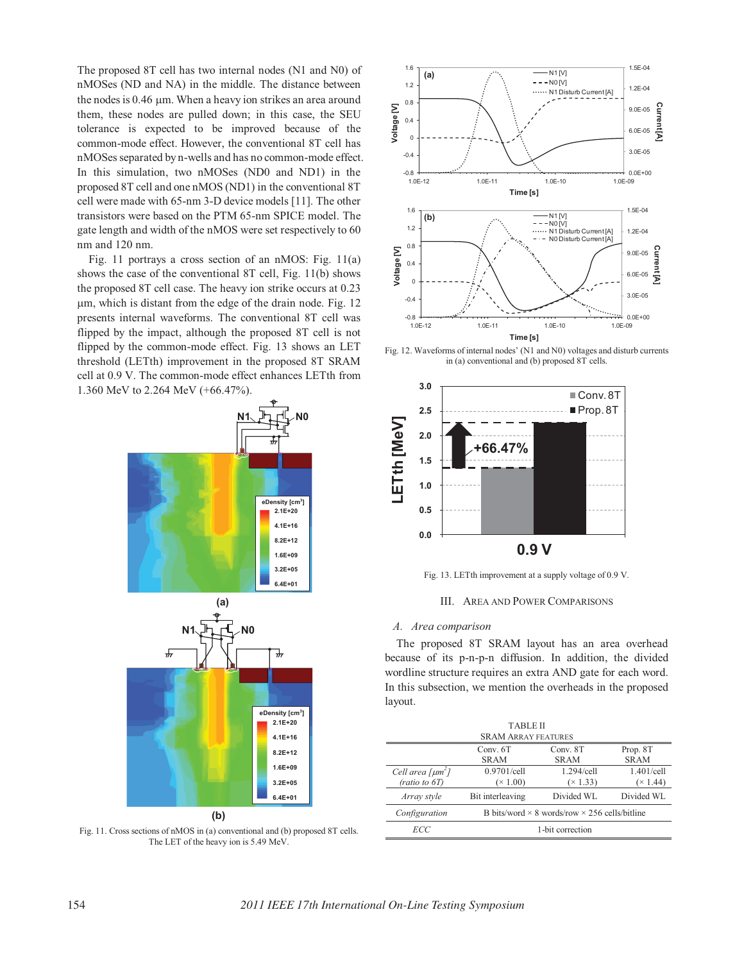The proposed 8T cell has two internal nodes (N1 and N0) of nMOSes (ND and NA) in the middle. The distance between the nodes is 0.46 µm. When a heavy ion strikes an area around them, these nodes are pulled down; in this case, the SEU tolerance is expected to be improved because of the common-mode effect. However, the conventional 8T cell has nMOSes separated by n-wells and has no common-mode effect. In this simulation, two nMOSes (ND0 and ND1) in the proposed 8T cell and one nMOS (ND1) in the conventional 8T cell were made with 65-nm 3-D device models [11]. The other transistors were based on the PTM 65-nm SPICE model. The gate length and width of the nMOS were set respectively to 60 nm and 120 nm.

Fig. 11 portrays a cross section of an nMOS: Fig. 11(a) shows the case of the conventional 8T cell, Fig. 11(b) shows the proposed 8T cell case. The heavy ion strike occurs at 0.23 m, which is distant from the edge of the drain node. Fig. 12 presents internal waveforms. The conventional 8T cell was flipped by the impact, although the proposed 8T cell is not flipped by the common-mode effect. Fig. 13 shows an LET threshold (LETth) improvement in the proposed 8T SRAM cell at 0.9 V. The common-mode effect enhances LETth from 1.360 MeV to 2.264 MeV (+66.47%).



Fig. 11. Cross sections of nMOS in (a) conventional and (b) proposed 8T cells. The LET of the heavy ion is 5.49 MeV.



Fig. 12. Waveforms of internal nodes' (N1 and N0) voltages and disturb currents in (a) conventional and (b) proposed 8T cells.



Fig. 13. LETth improvement at a supply voltage of 0.9 V.

III. AREA AND POWER COMPARISONS

The proposed 8T SRAM layout has an area overhead because of its p-n-p-n diffusion. In addition, the divided wordline structure requires an extra AND gate for each word. In this subsection, we mention the overheads in the proposed layout.

| <b>TABLE II</b>                    |                                                             |                 |             |
|------------------------------------|-------------------------------------------------------------|-----------------|-------------|
| <b>SRAM ARRAY FEATURES</b>         |                                                             |                 |             |
|                                    | Conv. 6T                                                    | Conv. 8T        | Prop. 8T    |
|                                    | <b>SRAM</b>                                                 | <b>SRAM</b>     | <b>SRAM</b> |
| Cell area [ $\mu$ m <sup>2</sup> ] | 0.9701/cell                                                 | 1.294/cell      | 1.401/cell  |
| (ratio to 6T)                      | $(\times 1.00)$                                             | $(\times 1.33)$ | (x 1.44)    |
| Array style                        | Bit interleaving                                            | Divided WL      | Divided WL  |
| Configuration                      | B bits/word $\times$ 8 words/row $\times$ 256 cells/bitline |                 |             |
| ECC                                | 1-bit correction                                            |                 |             |
|                                    |                                                             |                 |             |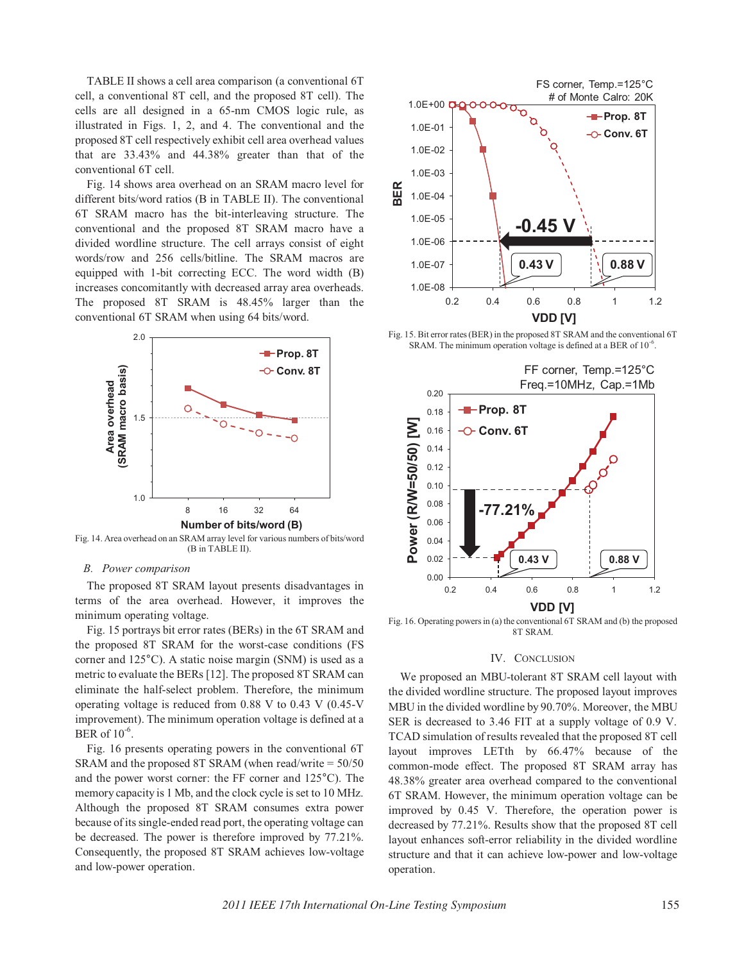TABLE II shows a cell area comparison (a conventional 6T cell, a conventional 8T cell, and the proposed 8T cell). The cells are all designed in a 65-nm CMOS logic rule, as illustrated in Figs. 1, 2, and 4. The conventional and the proposed 8T cell respectively exhibit cell area overhead values that are 33.43% and 44.38% greater than that of the conventional 6T cell.

Fig. 14 shows area overhead on an SRAM macro level for different bits/word ratios (B in TABLE II). The conventional 6T SRAM macro has the bit-interleaving structure. The conventional and the proposed 8T SRAM macro have a divided wordline structure. The cell arrays consist of eight words/row and 256 cells/bitline. The SRAM macros are equipped with 1-bit correcting ECC. The word width (B) increases concomitantly with decreased array area overheads. The proposed 8T SRAM is 48.45% larger than the conventional 6T SRAM when using 64 bits/word.



Fig. 14. Area overhead on an SRAM array level for various numbers of bits/word (B in TABLE II).

The proposed 8T SRAM layout presents disadvantages in terms of the area overhead. However, it improves the minimum operating voltage.

Fig. 15 portrays bit error rates (BERs) in the 6T SRAM and the proposed 8T SRAM for the worst-case conditions (FS corner and 125°C). A static noise margin (SNM) is used as a metric to evaluate the BERs [12]. The proposed 8T SRAM can eliminate the half-select problem. Therefore, the minimum operating voltage is reduced from 0.88 V to 0.43 V (0.45-V improvement). The minimum operation voltage is defined at a BER of 10-6.

Fig. 16 presents operating powers in the conventional 6T SRAM and the proposed 8T SRAM (when read/write = 50/50 and the power worst corner: the FF corner and 125°C). The memory capacity is 1 Mb, and the clock cycle is set to 10 MHz. Although the proposed 8T SRAM consumes extra power because of its single-ended read port, the operating voltage can be decreased. The power is therefore improved by 77.21%. Consequently, the proposed 8T SRAM achieves low-voltage and low-power operation.



Fig. 15. Bit error rates (BER) in the proposed 8T SRAM and the conventional 6T SRAM. The minimum operation voltage is defined at a BER of  $10^{-6}$ .



Fig. 16. Operating powers in (a) the conventional 6T SRAM and (b) the proposed 8T SRAM.

## IV. CONCLUSION

We proposed an MBU-tolerant 8T SRAM cell layout with the divided wordline structure. The proposed layout improves MBU in the divided wordline by 90.70%. Moreover, the MBU SER is decreased to 3.46 FIT at a supply voltage of 0.9 V. TCAD simulation of results revealed that the proposed 8T cell layout improves LETth by 66.47% because of the common-mode effect. The proposed 8T SRAM array has 48.38% greater area overhead compared to the conventional 6T SRAM. However, the minimum operation voltage can be improved by 0.45 V. Therefore, the operation power is decreased by 77.21%. Results show that the proposed 8T cell layout enhances soft-error reliability in the divided wordline structure and that it can achieve low-power and low-voltage operation.